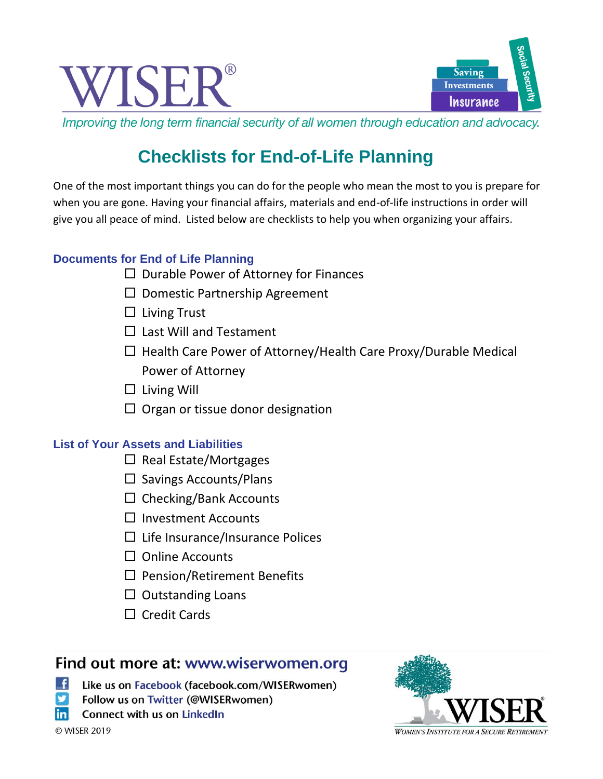



Improving the long term financial security of all women through education and advocacy.

# **Checklists for End-of-Life Planning**

One of the most important things you can do for the people who mean the most to you is prepare for when you are gone. Having your financial affairs, materials and end-of-life instructions in order will give you all peace of mind. Listed below are checklists to help you when organizing your affairs.

### **Documents for End of Life Planning**

- $\Box$  Durable Power of Attorney for Finances
- $\square$  Domestic Partnership Agreement
- $\square$  Living Trust
- $\Box$  Last Will and Testament
- $\Box$  Health Care Power of Attorney/Health Care Proxy/Durable Medical Power of Attorney
- $\Box$  Living Will
- $\Box$  Organ or tissue donor designation

## **List of Your Assets and Liabilities**

- $\Box$  Real Estate/Mortgages
- $\square$  Savings Accounts/Plans
- $\Box$  Checking/Bank Accounts
- $\Box$  Investment Accounts
- $\Box$  Life Insurance/Insurance Polices
- $\Box$  Online Accounts
- $\square$  Pension/Retirement Benefits
- $\Box$  Outstanding Loans
- $\Box$  Credit Cards

# Find out more at: www.wiserwomen.org

- -£l Like us on Facebook (facebook.com/WISERwomen)
	- Follow us on Twitter (@WISERwomen)
- **Connect with us on LinkedIn** linl

@ WISER 2019